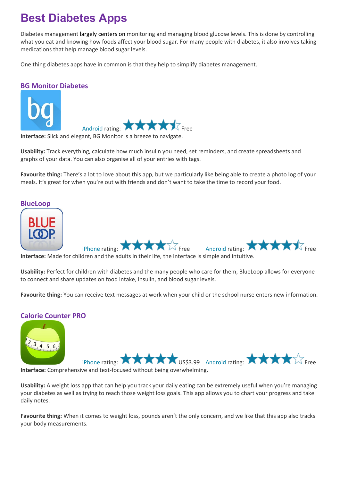## **Best Diabetes Apps**

Diabetes management largely centers on monitoring and managing blood glucose levels. This is done by controlling what you eat and knowing how foods affect your blood sugar. For many people with diabetes, it also involves taking medications that help manage blood sugar levels.

One thing diabetes apps have in common is that they help to simplify diabetes management.

## **BG Monitor Diabetes**



**Interface:** Slick and elegant, BG Monitor is a breeze to navigate.

**Usability:** Track everything, calculate how much insulin you need, set reminders, and create spreadsheets and graphs of your data. You can also organise all of your entries with tags.

**Favourite thing:** There's a lot to love about this app, but we particularly like being able to create a photo log of your meals. It's great for when you're out with friends and don't want to take the time to record your food.

#### **BlueLoop**



**Interface:** Made for children and the adults in their life, the interface is simple and intuitive.

**Usability:** Perfect for children with diabetes and the many people who care for them, BlueLoop allows for everyone to connect and share updates on food intake, insulin, and blood sugar levels.

**Favourite thing:** You can receive text messages at work when your child or the school nurse enters new information.

## **Calorie Counter PRO**



[iPhone](https://itunes.apple.com/us/app/calorie-counter-pro-by-mynetdiary/id352247139) rating: **XXXX** US\$3.99 [Android](https://play.google.com/store/apps/details?id=com.fourtechnologies.mynetdiary.ad) rating: **XXXX** Free

**Interface:** Comprehensive and text-focused without being overwhelming.

**Usability:** A weight loss app that can help you track your daily eating can be extremely useful when you're managing your diabetes as well as trying to reach those weight loss goals. This app allows you to chart your progress and take daily notes.

**Favourite thing:** When it comes to weight loss, pounds aren't the only concern, and we like that this app also tracks your body measurements.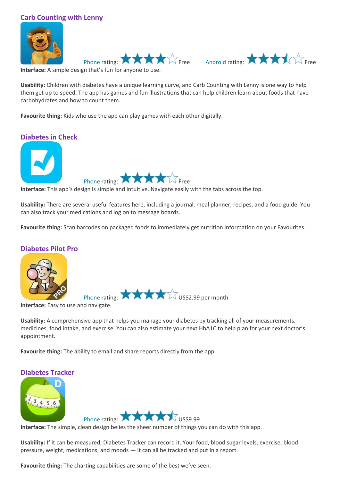## **Carb Counting with Lenny**







**Interface:** A simple design that's fun for anyone to use.

**Usability:** Children with diabetes have a unique learning curve, and Carb Counting with Lenny is one way to help them get up to speed. The app has games and fun illustrations that can help children learn about foods that have carbohydrates and how to count them.

**Favourite thing:** Kids who use the app can play games with each other digitally.

# **Diabetes in Check** [iPhone](https://itunes.apple.com/us/app/diabetes-in-check-coach-blood/id578255659) rating:

**Interface:** This app's design is simple and intuitive. Navigate easily with the tabs across the top.

**Usability:** There are several useful features here, including a journal, meal planner, recipes, and a food guide. You can also track your medications and log on to message boards.

**Favourite thing:** Scan barcodes on packaged foods to immediately get nutrition information on your Favourites.

## **Diabetes Pilot Pro**



**Interface:** Easy to use and navigate.

**Usability:** A comprehensive app that helps you manage your diabetes by tracking all of your measurements, medicines, food intake, and exercise. You can also estimate your next HbA1C to help plan for your next doctor's appointment.

**Favourite thing:** The ability to email and share reports directly from the app.

## **Diabetes Tracker**





**Interface:** The simple, clean design belies the sheer number of things you can do with this app.

**Usability:** If it can be measured, Diabetes Tracker can record it. Your food, blood sugar levels, exercise, blood pressure, weight, medications, and moods — it can all be tracked and put in a report.

**Favourite thing:** The charting capabilities are some of the best we've seen.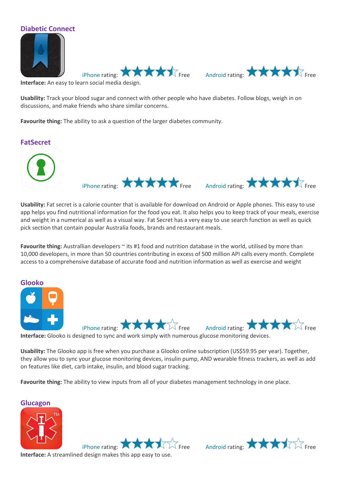

[iPhone](https://itunes.apple.com/us/app/diabetic-connect/id418076239) rating:  $\bigstar \bigstar \bigstar \bigstar$ 

**Interface:** An easy to learn social media design.

**Usability:** Track your blood sugar and connect with other people who have diabetes. Follow blogs, weigh in on discussions, and make friends who share similar concerns.

**Favourite thing:** The ability to ask a question of the larger diabetes community.





**Usability:** Fat secret is a calorie counter that is available for download on Android or Apple phones. This easy to use app helps you find nutritional information for the food you eat. It also helps you to keep track of your meals, exercise and weight in a numerical as well as a visual way. Fat Secret has a very easy to use search function as well as quick pick section that contain popular Australia foods, brands and restaurant meals.

**Favourite thing:** Australlian developers  $\sim$  its #1 food and nutrition database in the world, utilised by more than 10,000 developers, in more than 50 countries contributing in excess of 500 million API calls every month. Complete access to a comprehensive database of accurate food and nutrition information as well as exercise and weight



**Interface:** Glooko is designed to sync and work simply with numerous glucose monitoring devices.

**Usability:** The Glooko app is free when you purchase a Glooko online subscription (US\$59.95 per year). Together, they allow you to sync your glucose monitoring devices, insulin pump, AND wearable fitness trackers, as well as add on features like diet, carb intake, insulin, and blood sugar tracking.

**Favourite thing:** The ability to view inputs from all of your diabetes management technology in one place.

**Glucagon**



[iPhone](https://itunes.apple.com/us/app/glucagon/id553314007) rating:  $\bigstar \bigstar \bigstar \bigstar$ **Interface:** A streamlined design makes this app easy to use.

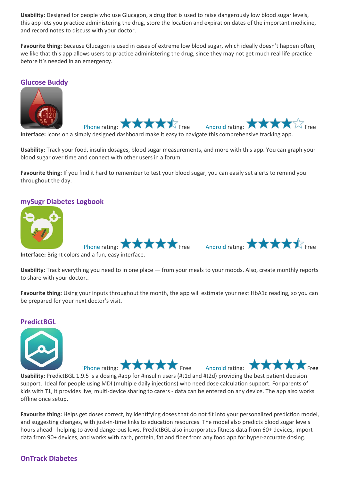**Usability:** Designed for people who use Glucagon, a drug that is used to raise dangerously low blood sugar levels, this app lets you practice administering the drug, store the location and expiration dates of the important medicine, and record notes to discuss with your doctor.

**Favourite thing:** Because Glucagon is used in cases of extreme low blood sugar, which ideally doesn't happen often, we like that this app allows users to practice administering the drug, since they may not get much real life practice before it's needed in an emergency.

## **Glucose Buddy**



[iPhone](https://itunes.apple.com/us/app/glucose-buddy-diabetes-logbook/id294754639) rating:  $\bigstar \bigstar \bigstar \bigstar$ 



**Interface:** Icons on a simply designed dashboard make it easy to navigate this comprehensive tracking app.

**Usability:** Track your food, insulin dosages, blood sugar measurements, and more with this app. You can graph your blood sugar over time and connect with other users in a forum.

**Favourite thing:** If you find it hard to remember to test your blood sugar, you can easily set alerts to remind you throughout the day.

## **mySugr Diabetes Logbook**





**Interface:** Bright colors and a fun, easy interface.

**Usability:** Track everything you need to in one place — from your meals to your moods. Also, create monthly reports to share with your doctor..

**Favourite thing:** Using your inputs throughout the month, the app will estimate your next HbA1c reading, so you can be prepared for your next doctor's visit.

### **PredictBGL**



[iPhone](https://itunes.apple.com/app/id980437930) rating:  $\blacksquare$   $\blacksquare$   $\blacksquare$   $\blacksquare$   $\blacksquare$   $\blacksquare$   $\blacksquare$   $\blacksquare$   $\blacksquare$   $\blacksquare$   $\blacksquare$   $\blacksquare$   $\blacksquare$   $\blacksquare$   $\blacksquare$   $\blacksquare$   $\blacksquare$   $\blacksquare$   $\blacksquare$   $\blacksquare$   $\blacksquare$   $\blacksquare$   $\blacksquare$   $\blacksquare$   $\blacksquare$   $\blacksquare$   $\blacksquare$   $\blacksquare$   $\blacksquare$   $\bl$ 



**Usability:** PredictBGL 1.9.5 is a dosing #app for #insulin users (#t1d and #t2d) providing the best patient decision support. Ideal for people using MDI (multiple daily injections) who need dose calculation support. For parents of kids with T1, it provides live, multi-device sharing to carers - data can be entered on any device. The app also works offline once setup.

**Favourite thing:** Helps get doses correct, by identifying doses that do not fit into your personalized prediction model, and suggesting changes, with just-in-time links to education resources. The model also predicts blood sugar levels hours ahead - helping to avoid dangerous lows. PredictBGL also incorporates fitness data from 60+ devices, import data from 90+ devices, and works with carb, protein, fat and fiber from any food app for hyper-accurate dosing.

## **OnTrack Diabetes**